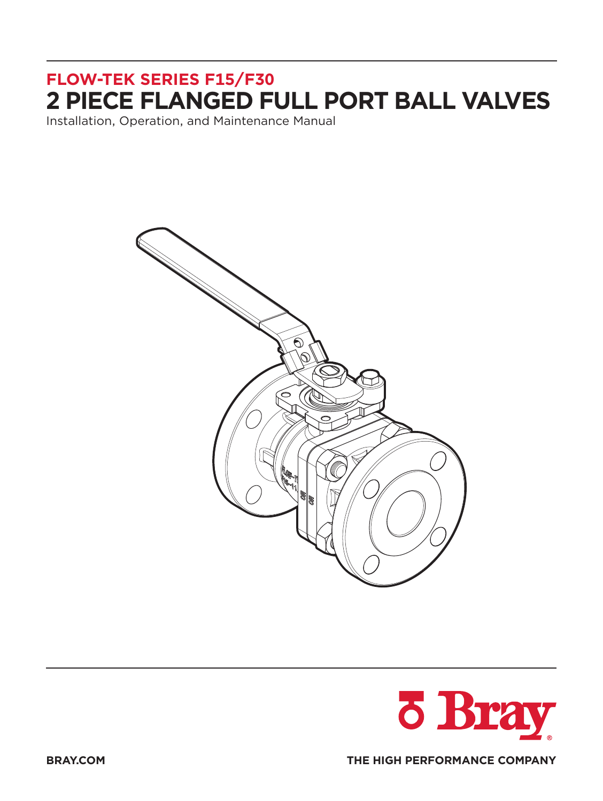Installation, Operation, and Maintenance Manual



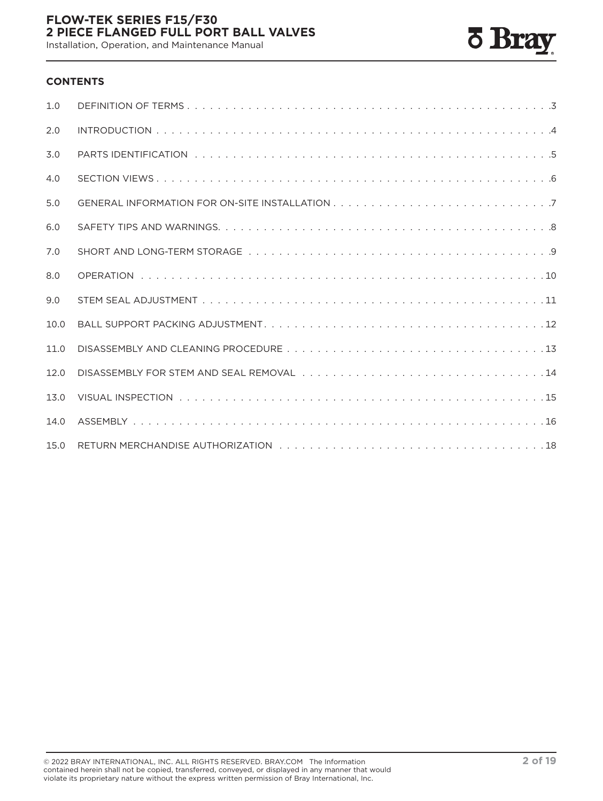Installation, Operation, and Maintenance Manual



#### **CONTENTS**

| 1.0  |  |
|------|--|
| 2.0  |  |
| 3.0  |  |
| 4.0  |  |
| 5.0  |  |
| 6.0  |  |
| 7.0  |  |
| 8.0  |  |
| 9.0  |  |
| 10.0 |  |
| 11.0 |  |
| 12.0 |  |
| 13.0 |  |
| 14.0 |  |
| 15.0 |  |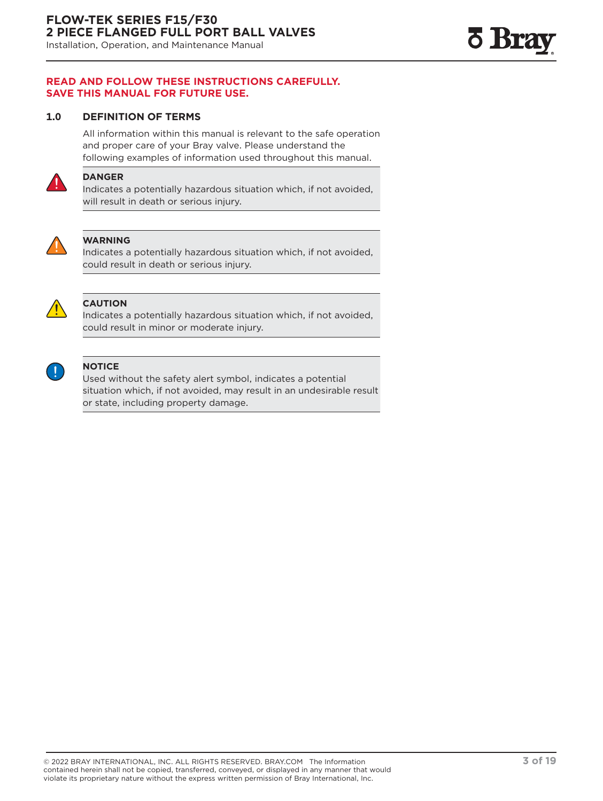<span id="page-2-0"></span>Installation, Operation, and Maintenance Manual

#### **READ AND FOLLOW THESE INSTRUCTIONS CAREFULLY. SAVE THIS MANUAL FOR FUTURE USE.**

#### **1.0 DEFINITION OF TERMS**

All information within this manual is relevant to the safe operation and proper care of your Bray valve. Please understand the following examples of information used throughout this manual.



#### **DANGER**

Indicates a potentially hazardous situation which, if not avoided, will result in death or serious injury.



#### **WARNING**

Indicates a potentially hazardous situation which, if not avoided, could result in death or serious injury.



#### **CAUTION**

Indicates a potentially hazardous situation which, if not avoided, could result in minor or moderate injury.



#### **NOTICE**

Used without the safety alert symbol, indicates a potential situation which, if not avoided, may result in an undesirable result or state, including property damage.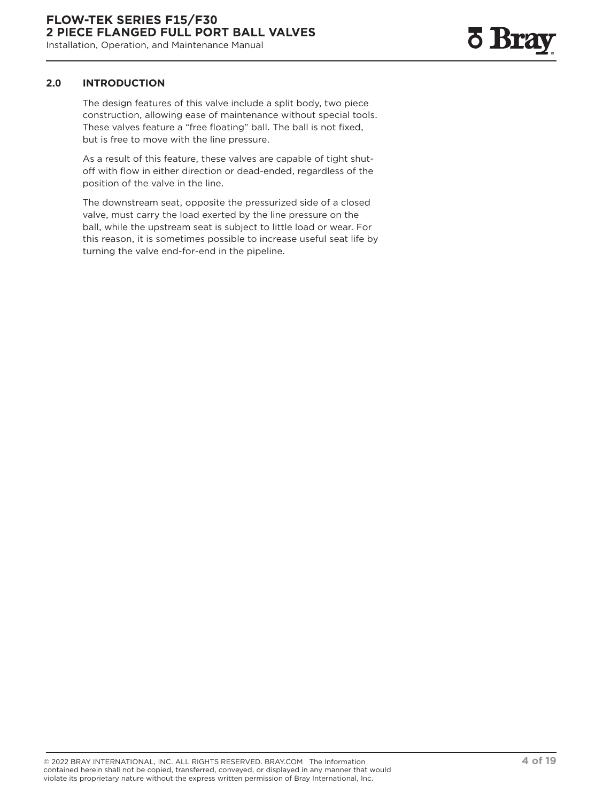# **6 Bra**

#### <span id="page-3-0"></span>**2.0 INTRODUCTION**

The design features of this valve include a split body, two piece construction, allowing ease of maintenance without special tools. These valves feature a "free floating" ball. The ball is not fixed, but is free to move with the line pressure.

As a result of this feature, these valves are capable of tight shutoff with flow in either direction or dead-ended, regardless of the position of the valve in the line.

The downstream seat, opposite the pressurized side of a closed valve, must carry the load exerted by the line pressure on the ball, while the upstream seat is subject to little load or wear. For this reason, it is sometimes possible to increase useful seat life by turning the valve end-for-end in the pipeline.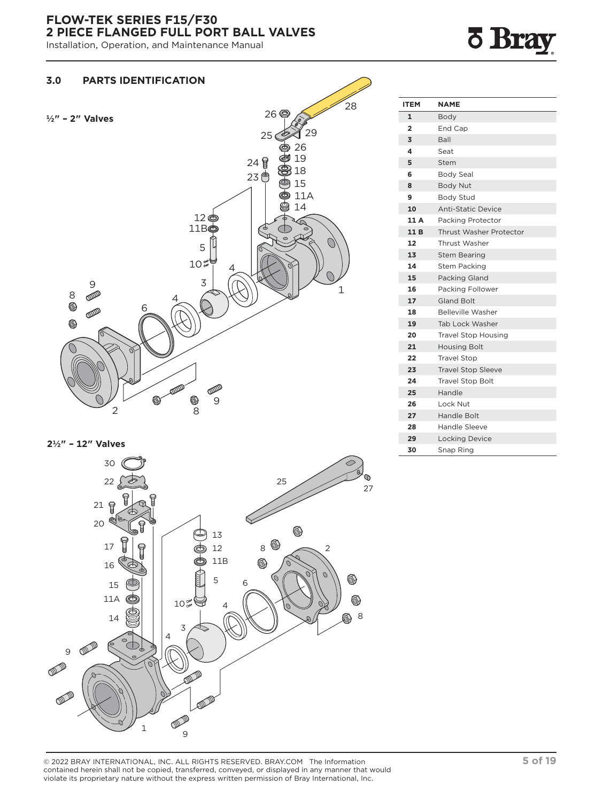<span id="page-4-0"></span>Installation, Operation, and Maintenance Manual

## **F** Bray



**2½" – 12" Valves** 



| <b>ITEM</b>    | <b>NAME</b>                |  |  |  |  |  |
|----------------|----------------------------|--|--|--|--|--|
| 1              | Body                       |  |  |  |  |  |
| $\overline{2}$ | End Cap                    |  |  |  |  |  |
| 3              | Ball                       |  |  |  |  |  |
| 4              | Seat                       |  |  |  |  |  |
| 5              | Stem                       |  |  |  |  |  |
| 6              | <b>Body Seal</b>           |  |  |  |  |  |
| 8              | <b>Body Nut</b>            |  |  |  |  |  |
| 9              | <b>Body Stud</b>           |  |  |  |  |  |
| 10             | <b>Anti-Static Device</b>  |  |  |  |  |  |
| 11 A           | Packing Protector          |  |  |  |  |  |
| 11B            | Thrust Washer Protector    |  |  |  |  |  |
| 12             | Thrust Washer              |  |  |  |  |  |
| 13             | <b>Stem Bearing</b>        |  |  |  |  |  |
| 14             | <b>Stem Packing</b>        |  |  |  |  |  |
| 15             | Packing Gland              |  |  |  |  |  |
| 16             | Packing Follower           |  |  |  |  |  |
| 17             | <b>Gland Bolt</b>          |  |  |  |  |  |
| 18             | <b>Belleville Washer</b>   |  |  |  |  |  |
| 19             | Tab Lock Washer            |  |  |  |  |  |
| 20             | <b>Travel Stop Housing</b> |  |  |  |  |  |
| 21             | <b>Housing Bolt</b>        |  |  |  |  |  |
| 22             | <b>Travel Stop</b>         |  |  |  |  |  |
| 23             | <b>Travel Stop Sleeve</b>  |  |  |  |  |  |
| 24             | <b>Travel Stop Bolt</b>    |  |  |  |  |  |
| 25             | Handle                     |  |  |  |  |  |
| 26             | Lock Nut                   |  |  |  |  |  |
| 27             | Handle Bolt                |  |  |  |  |  |
| 28             | Handle Sleeve              |  |  |  |  |  |
| 29             | <b>Locking Device</b>      |  |  |  |  |  |
| 30             | Snap Ring                  |  |  |  |  |  |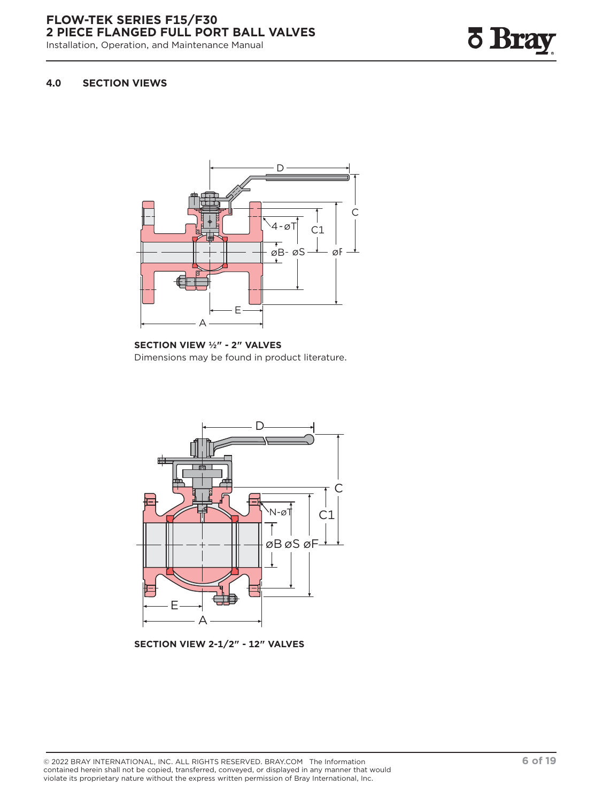<span id="page-5-0"></span>Installation, Operation, and Maintenance Manual



#### **4.0 SECTION VIEWS**



**SECTION VIEW ½" - 2" VALVES** Dimensions may be found in product literature.



**SECTION VIEW 2-1/2" - 12" VALVES**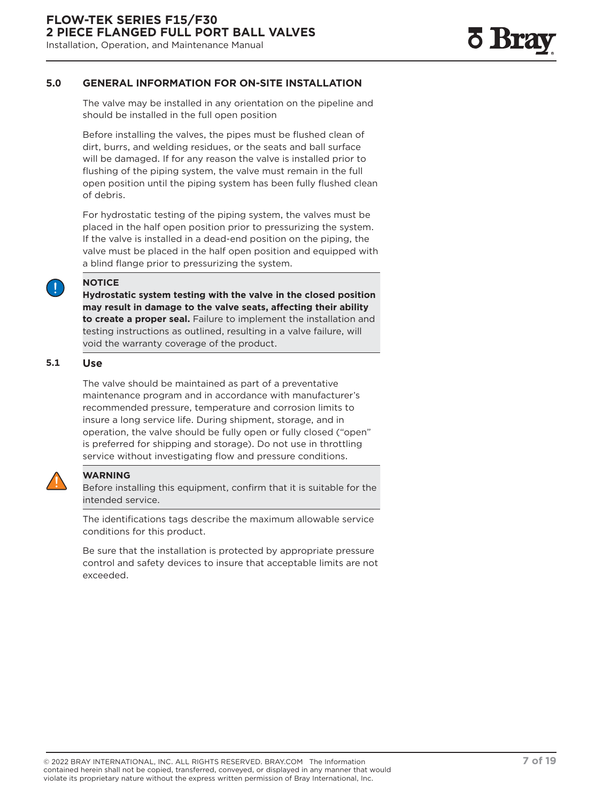#### <span id="page-6-0"></span>**5.0 GENERAL INFORMATION FOR ON-SITE INSTALLATION**

The valve may be installed in any orientation on the pipeline and should be installed in the full open position

Before installing the valves, the pipes must be flushed clean of dirt, burrs, and welding residues, or the seats and ball surface will be damaged. If for any reason the valve is installed prior to flushing of the piping system, the valve must remain in the full open position until the piping system has been fully flushed clean of debris.

For hydrostatic testing of the piping system, the valves must be placed in the half open position prior to pressurizing the system. If the valve is installed in a dead-end position on the piping, the valve must be placed in the half open position and equipped with a blind flange prior to pressurizing the system.

#### **NOTICE**

**Hydrostatic system testing with the valve in the closed position may result in damage to the valve seats, affecting their ability to create a proper seal.** Failure to implement the installation and testing instructions as outlined, resulting in a valve failure, will void the warranty coverage of the product.

#### **5.1 Use**

The valve should be maintained as part of a preventative maintenance program and in accordance with manufacturer's recommended pressure, temperature and corrosion limits to insure a long service life. During shipment, storage, and in operation, the valve should be fully open or fully closed ("open" is preferred for shipping and storage). Do not use in throttling service without investigating flow and pressure conditions.



#### **WARNING**

Before installing this equipment, confirm that it is suitable for the intended service.

The identifications tags describe the maximum allowable service conditions for this product.

Be sure that the installation is protected by appropriate pressure control and safety devices to insure that acceptable limits are not exceeded.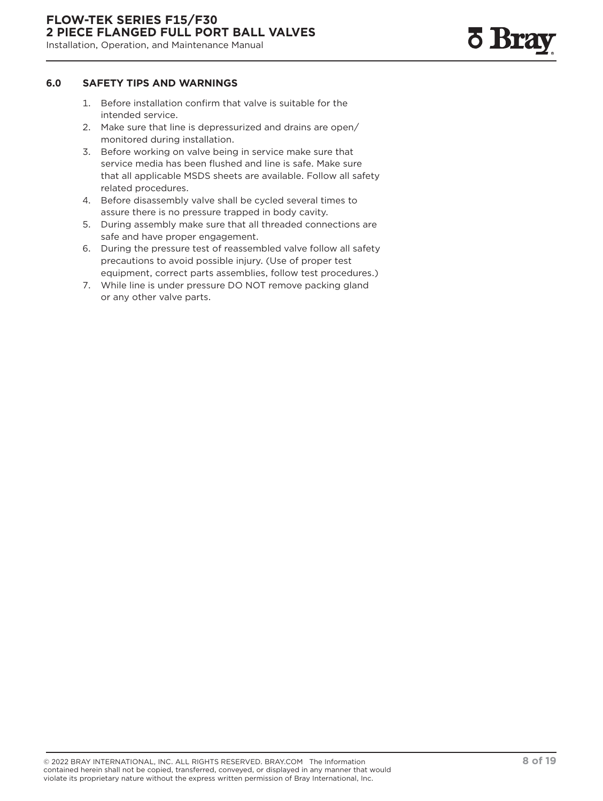#### <span id="page-7-0"></span>**6.0 SAFETY TIPS AND WARNINGS**

- 1. Before installation confirm that valve is suitable for the intended service.
- 2. Make sure that line is depressurized and drains are open/ monitored during installation.
- 3. Before working on valve being in service make sure that service media has been flushed and line is safe. Make sure that all applicable MSDS sheets are available. Follow all safety related procedures.
- 4. Before disassembly valve shall be cycled several times to assure there is no pressure trapped in body cavity.
- 5. During assembly make sure that all threaded connections are safe and have proper engagement.
- 6. During the pressure test of reassembled valve follow all safety precautions to avoid possible injury. (Use of proper test equipment, correct parts assemblies, follow test procedures.)
- 7. While line is under pressure DO NOT remove packing gland or any other valve parts.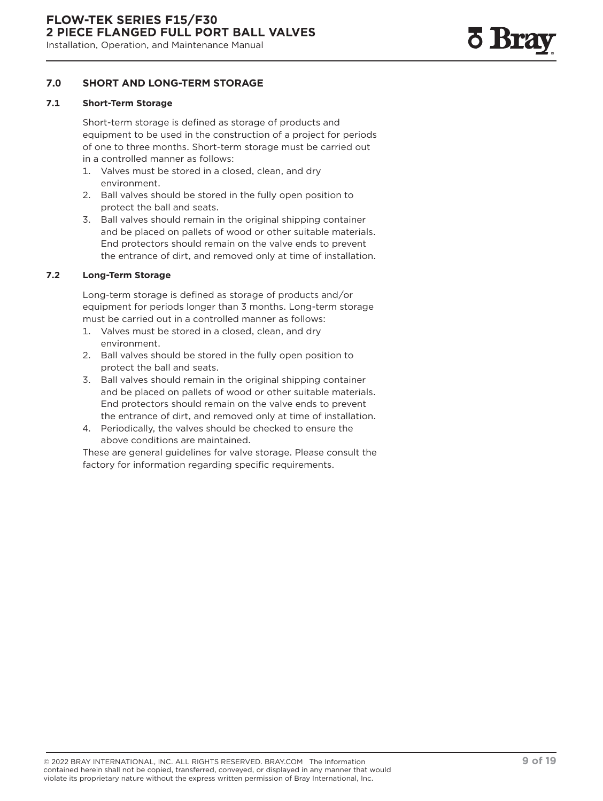#### <span id="page-8-0"></span>**7.0 SHORT AND LONG-TERM STORAGE**

#### **7.1 Short-Term Storage**

Short-term storage is defined as storage of products and equipment to be used in the construction of a project for periods of one to three months. Short-term storage must be carried out in a controlled manner as follows:

- 1. Valves must be stored in a closed, clean, and dry environment.
- 2. Ball valves should be stored in the fully open position to protect the ball and seats.
- 3. Ball valves should remain in the original shipping container and be placed on pallets of wood or other suitable materials. End protectors should remain on the valve ends to prevent the entrance of dirt, and removed only at time of installation.

#### **7.2 Long-Term Storage**

Long-term storage is defined as storage of products and/or equipment for periods longer than 3 months. Long-term storage must be carried out in a controlled manner as follows:

- 1. Valves must be stored in a closed, clean, and dry environment.
- 2. Ball valves should be stored in the fully open position to protect the ball and seats.
- 3. Ball valves should remain in the original shipping container and be placed on pallets of wood or other suitable materials. End protectors should remain on the valve ends to prevent the entrance of dirt, and removed only at time of installation.
- 4. Periodically, the valves should be checked to ensure the above conditions are maintained.

These are general guidelines for valve storage. Please consult the factory for information regarding specific requirements.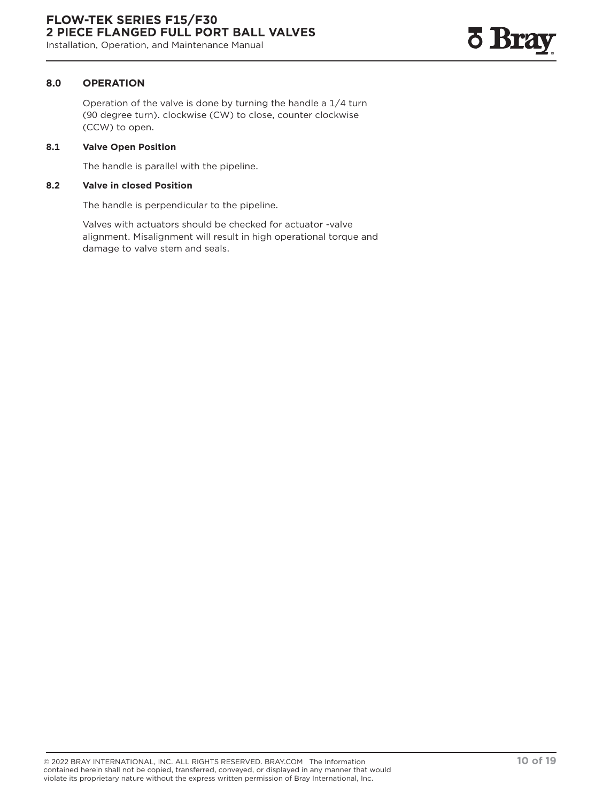#### <span id="page-9-0"></span>**8.0 OPERATION**

Operation of the valve is done by turning the handle a 1/4 turn (90 degree turn). clockwise (CW) to close, counter clockwise (CCW) to open.

#### **8.1 Valve Open Position**

The handle is parallel with the pipeline.

#### **8.2 Valve in closed Position**

The handle is perpendicular to the pipeline.

Valves with actuators should be checked for actuator -valve alignment. Misalignment will result in high operational torque and damage to valve stem and seals.

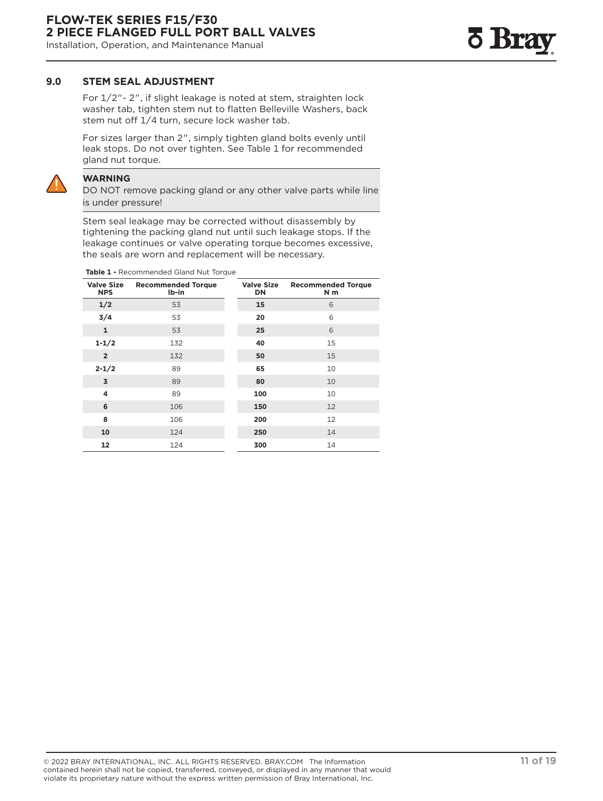#### <span id="page-10-0"></span>**9.0 STEM SEAL ADJUSTMENT**

For 1/2"- 2", if slight leakage is noted at stem, straighten lock washer tab, tighten stem nut to flatten Belleville Washers, back stem nut off 1/4 turn, secure lock washer tab.

For sizes larger than 2", simply tighten gland bolts evenly until leak stops. Do not over tighten. See Table 1 for recommended gland nut torque.



#### **WARNING**

DO NOT remove packing gland or any other valve parts while line is under pressure!

Stem seal leakage may be corrected without disassembly by tightening the packing gland nut until such leakage stops. If the leakage continues or valve operating torque becomes excessive, the seals are worn and replacement will be necessary.

**Table 1 -** Recommended Gland Nut Torque

| <b>Valve Size</b><br><b>NPS</b> | <b>Recommended Torque</b><br>Ib-in |  | <b>Valve Size</b><br>DN | <b>Recommended Torque</b><br>N m |
|---------------------------------|------------------------------------|--|-------------------------|----------------------------------|
| 1/2                             | 53                                 |  | 15                      | 6                                |
| 3/4                             | 53                                 |  | 20                      | 6                                |
| $\mathbf{1}$                    | 53                                 |  | 25                      | 6                                |
| $1 - 1/2$                       | 132                                |  | 40                      | 15                               |
| $\overline{2}$                  | 132                                |  | 50                      | 15                               |
| $2 - 1/2$                       | 89                                 |  | 65                      | 10                               |
| 3                               | 89                                 |  | 80                      | 10                               |
| 4                               | 89                                 |  | 100                     | 10                               |
| 6                               | 106                                |  | 150                     | 12                               |
| 8                               | 106                                |  | 200                     | 12                               |
| 10                              | 124                                |  | 250                     | 14                               |
| 12                              | 124                                |  | 300                     | 14                               |

<u>o Bra</u>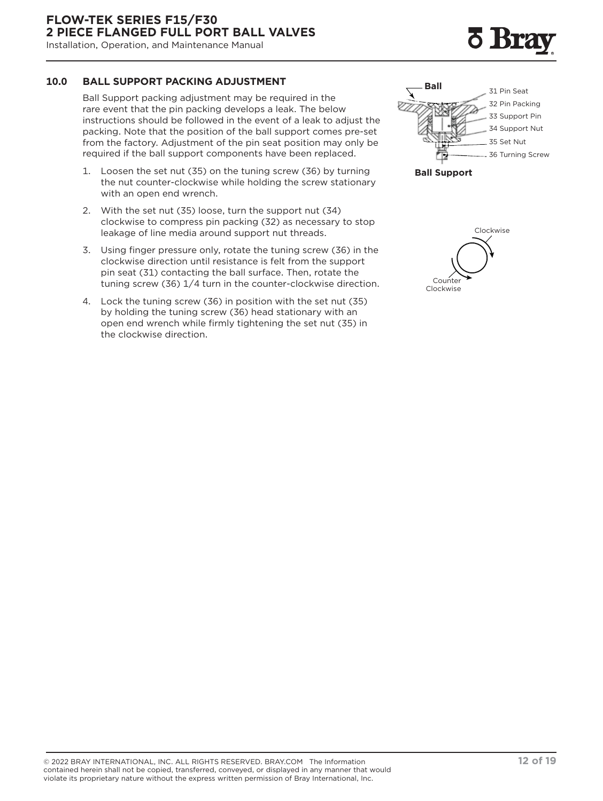<span id="page-11-0"></span>Installation, Operation, and Maintenance Manual

#### **10.0 BALL SUPPORT PACKING ADJUSTMENT**

Ball Support packing adjustment may be required in the rare event that the pin packing develops a leak. The below instructions should be followed in the event of a leak to adjust the packing. Note that the position of the ball support comes pre-set from the factory. Adjustment of the pin seat position may only be required if the ball support components have been replaced.

- 1. Loosen the set nut (35) on the tuning screw (36) by turning the nut counter-clockwise while holding the screw stationary with an open end wrench.
- 2. With the set nut (35) loose, turn the support nut (34) clockwise to compress pin packing (32) as necessary to stop leakage of line media around support nut threads.
- 3. Using finger pressure only, rotate the tuning screw (36) in the clockwise direction until resistance is felt from the support pin seat (31) contacting the ball surface. Then, rotate the tuning screw (36) 1/4 turn in the counter-clockwise direction.
- 4. Lock the tuning screw (36) in position with the set nut (35) by holding the tuning screw (36) head stationary with an open end wrench while firmly tightening the set nut (35) in the clockwise direction.





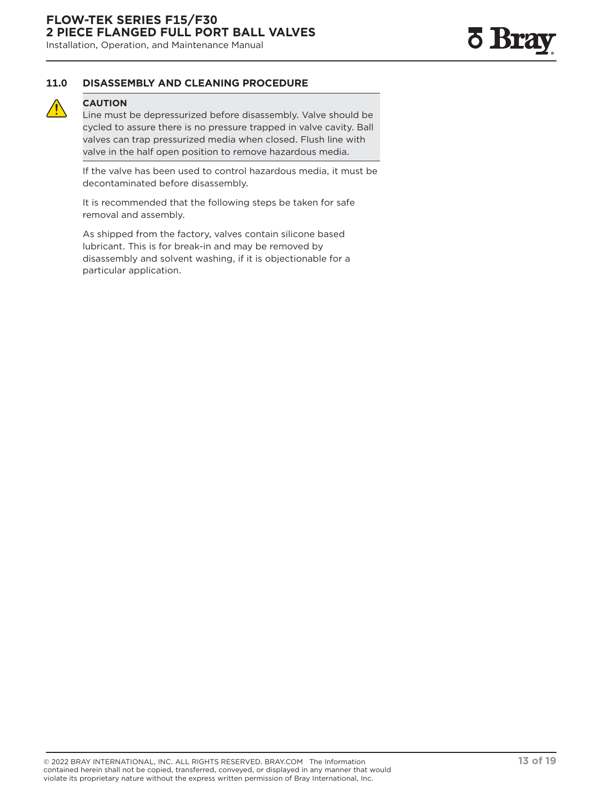#### <span id="page-12-0"></span>**11.0 DISASSEMBLY AND CLEANING PROCEDURE**

#### **CAUTION**

Line must be depressurized before disassembly. Valve should be cycled to assure there is no pressure trapped in valve cavity. Ball valves can trap pressurized media when closed. Flush line with valve in the half open position to remove hazardous media.

If the valve has been used to control hazardous media, it must be decontaminated before disassembly.

It is recommended that the following steps be taken for safe removal and assembly.

As shipped from the factory, valves contain silicone based lubricant. This is for break-in and may be removed by disassembly and solvent washing, if it is objectionable for a particular application.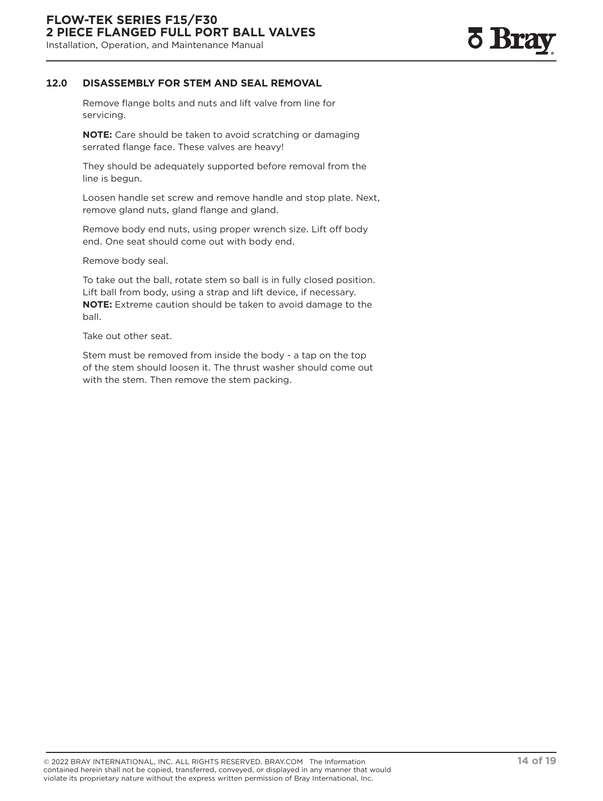

#### <span id="page-13-0"></span>**12.0 DISASSEMBLY FOR STEM AND SEAL REMOVAL**

Remove flange bolts and nuts and lift valve from line for servicing.

**NOTE:** Care should be taken to avoid scratching or damaging serrated flange face. These valves are heavy!

They should be adequately supported before removal from the line is begun.

Loosen handle set screw and remove handle and stop plate. Next, remove gland nuts, gland flange and gland.

Remove body end nuts, using proper wrench size. Lift off body end. One seat should come out with body end.

Remove body seal.

To take out the ball, rotate stem so ball is in fully closed position. Lift ball from body, using a strap and lift device, if necessary. **NOTE:** Extreme caution should be taken to avoid damage to the ball.

Take out other seat.

Stem must be removed from inside the body - a tap on the top of the stem should loosen it. The thrust washer should come out with the stem. Then remove the stem packing.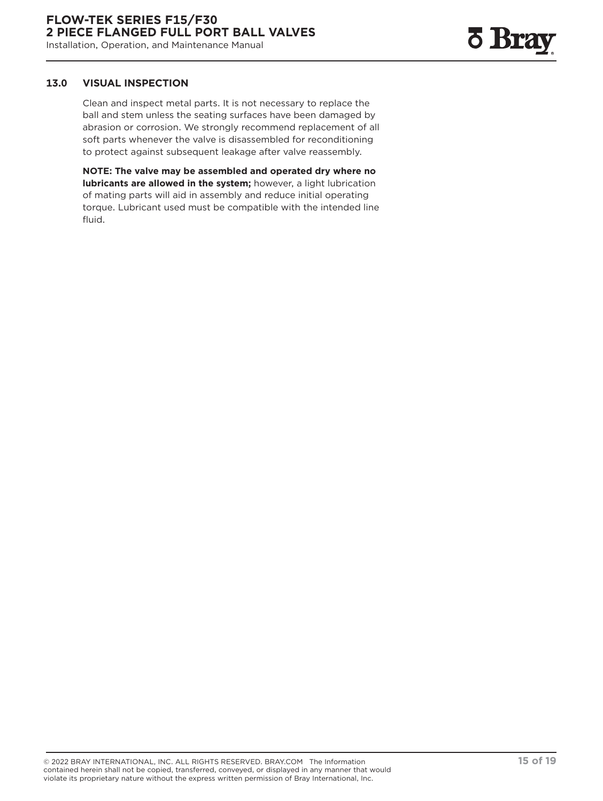#### <span id="page-14-0"></span>**13.0 VISUAL INSPECTION**

Clean and inspect metal parts. It is not necessary to replace the ball and stem unless the seating surfaces have been damaged by abrasion or corrosion. We strongly recommend replacement of all soft parts whenever the valve is disassembled for reconditioning to protect against subsequent leakage after valve reassembly.

**NOTE: The valve may be assembled and operated dry where no lubricants are allowed in the system;** however, a light lubrication of mating parts will aid in assembly and reduce initial operating torque. Lubricant used must be compatible with the intended line fluid.

© 2022 BRAY INTERNATIONAL, INC. ALL RIGHTS RESERVED. BRAY.COM The Information **15 of 19** contained herein shall not be copied, transferred, conveyed, or displayed in any manner that would violate its proprietary nature without the express written permission of Bray International, Inc.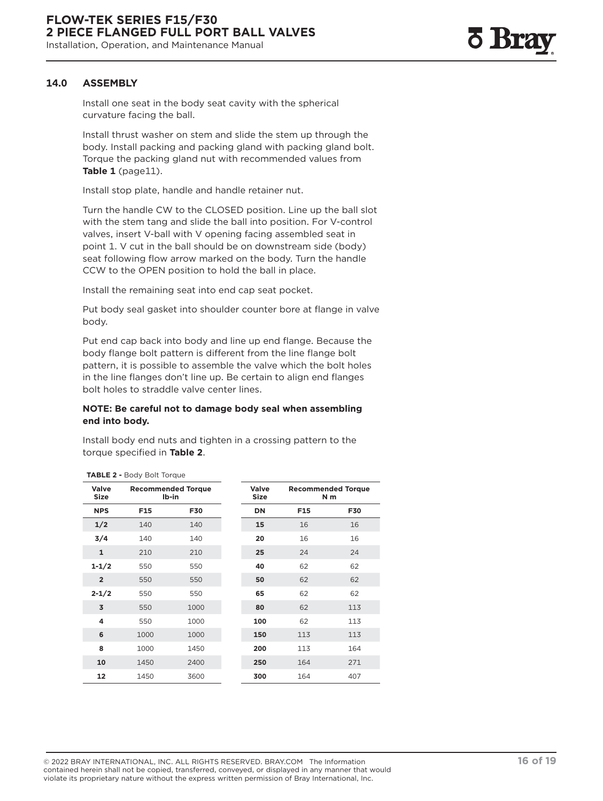<span id="page-15-0"></span>Install one seat in the body seat cavity with the spherical curvature facing the ball.

Install thrust washer on stem and slide the stem up through the body. Install packing and packing gland with packing gland bolt. Torque the packing gland nut with recommended values from **Table 1** (page11).

Install stop plate, handle and handle retainer nut.

Turn the handle CW to the CLOSED position. Line up the ball slot with the stem tang and slide the ball into position. For V-control valves, insert V-ball with V opening facing assembled seat in point 1. V cut in the ball should be on downstream side (body) seat following flow arrow marked on the body. Turn the handle CCW to the OPEN position to hold the ball in place.

Install the remaining seat into end cap seat pocket.

Put body seal gasket into shoulder counter bore at flange in valve body.

Put end cap back into body and line up end flange. Because the body flange bolt pattern is different from the line flange bolt pattern, it is possible to assemble the valve which the bolt holes in the line flanges don't line up. Be certain to align end flanges bolt holes to straddle valve center lines.

#### **NOTE: Be careful not to damage body seal when assembling end into body.**

Install body end nuts and tighten in a crossing pattern to the torque specified in **Table 2**.

|                      | <b>TABLE 2 - Body Bolt Torque</b>  |      |               |                                             |            |
|----------------------|------------------------------------|------|---------------|---------------------------------------------|------------|
| Valve<br><b>Size</b> | <b>Recommended Torque</b><br>Ib-in |      | Valve<br>Size | <b>Recommended Torque</b><br>N <sub>m</sub> |            |
| <b>NPS</b>           | F15                                | F30  | DN            | F15                                         | <b>F30</b> |
| 1/2                  | 140                                | 140  | 15            | 16                                          | 16         |
| 3/4                  | 140                                | 140  | 20            | 16                                          | 16         |
| $\mathbf{1}$         | 210                                | 210  | 25            | 24                                          | 24         |
| $1 - 1/2$            | 550                                | 550  | 40            | 62                                          | 62         |
| $\overline{2}$       | 550                                | 550  | 50            | 62                                          | 62         |
| $2 - 1/2$            | 550                                | 550  | 65            | 62                                          | 62         |
| 3                    | 550                                | 1000 | 80            | 62                                          | 113        |
| 4                    | 550                                | 1000 | 100           | 62                                          | 113        |
| 6                    | 1000                               | 1000 | 150           | 113                                         | 113        |
| 8                    | 1000                               | 1450 | 200           | 113                                         | 164        |
| 10                   | 1450                               | 2400 | 250           | 164                                         | 271        |
| 12                   | 1450                               | 3600 | 300           | 164                                         | 407        |

© 2022 BRAY INTERNATIONAL, INC. ALL RIGHTS RESERVED. BRAY.COM The Information **16 of 19** contained herein shall not be copied, transferred, conveyed, or displayed in any manner that would violate its proprietary nature without the express written permission of Bray International, Inc.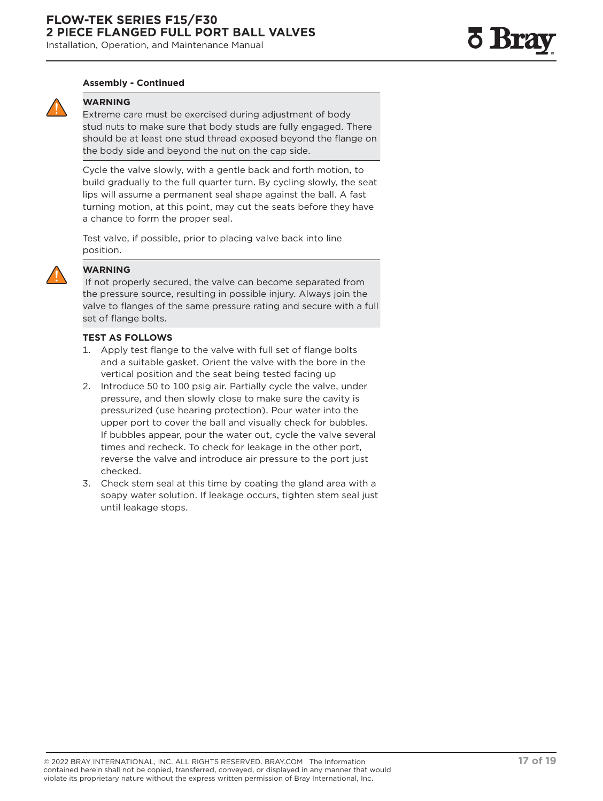#### **Assembly - Continued**



#### **WARNING**

Extreme care must be exercised during adjustment of body stud nuts to make sure that body studs are fully engaged. There should be at least one stud thread exposed beyond the flange on the body side and beyond the nut on the cap side.

Cycle the valve slowly, with a gentle back and forth motion, to build gradually to the full quarter turn. By cycling slowly, the seat lips will assume a permanent seal shape against the ball. A fast turning motion, at this point, may cut the seats before they have a chance to form the proper seal.

Test valve, if possible, prior to placing valve back into line position.



#### **WARNING**

 If not properly secured, the valve can become separated from the pressure source, resulting in possible injury. Always join the valve to flanges of the same pressure rating and secure with a full set of flange bolts.

#### **TEST AS FOLLOWS**

- 1. Apply test flange to the valve with full set of flange bolts and a suitable gasket. Orient the valve with the bore in the vertical position and the seat being tested facing up
- 2. Introduce 50 to 100 psig air. Partially cycle the valve, under pressure, and then slowly close to make sure the cavity is pressurized (use hearing protection). Pour water into the upper port to cover the ball and visually check for bubbles. If bubbles appear, pour the water out, cycle the valve several times and recheck. To check for leakage in the other port, reverse the valve and introduce air pressure to the port just checked.
- 3. Check stem seal at this time by coating the gland area with a soapy water solution. If leakage occurs, tighten stem seal just until leakage stops.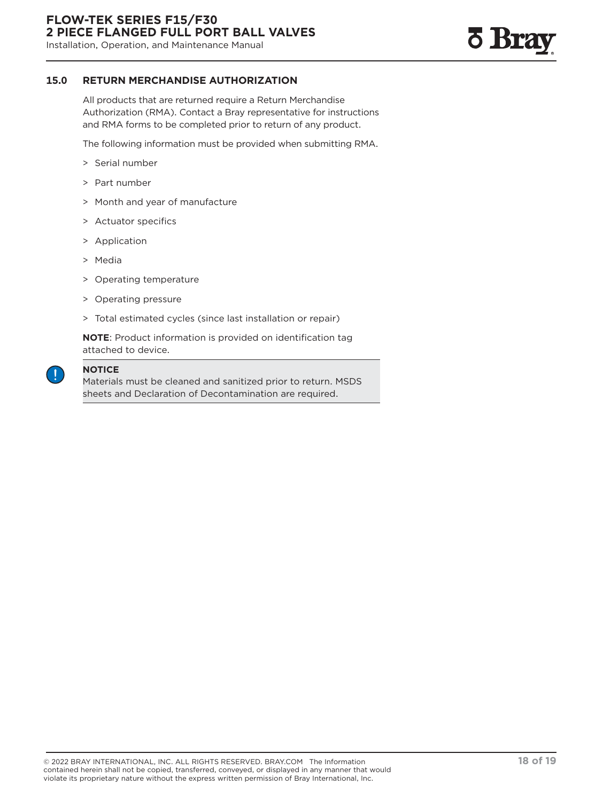<span id="page-17-0"></span>Installation, Operation, and Maintenance Manual



#### **15.0 RETURN MERCHANDISE AUTHORIZATION**

All products that are returned require a Return Merchandise Authorization (RMA). Contact a Bray representative for instructions and RMA forms to be completed prior to return of any product.

The following information must be provided when submitting RMA.

- > Serial number
- > Part number
- > Month and year of manufacture
- > Actuator specifics
- > Application
- > Media
- > Operating temperature
- > Operating pressure
- > Total estimated cycles (since last installation or repair)

**NOTE**: Product information is provided on identification tag attached to device.



#### **NOTICE**

Materials must be cleaned and sanitized prior to return. MSDS sheets and Declaration of Decontamination are required.